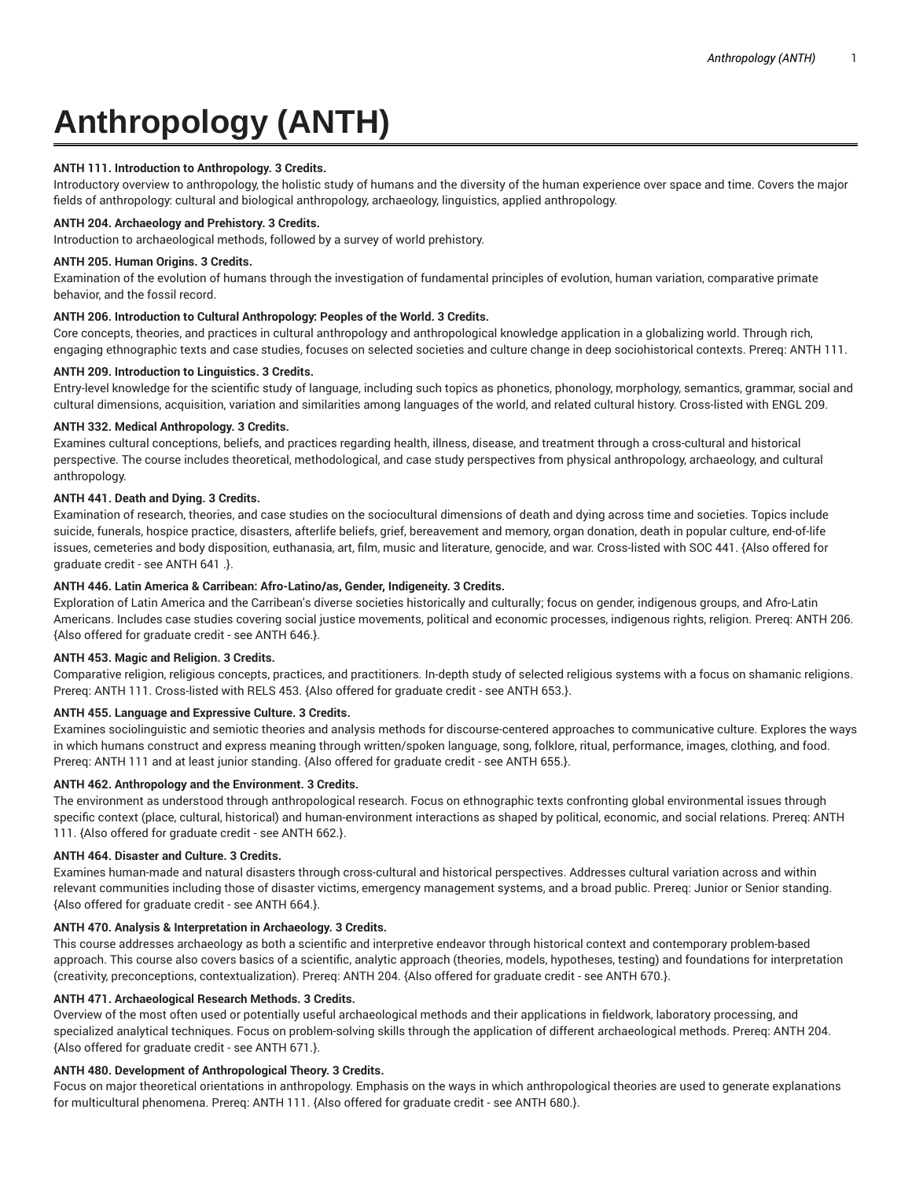# **Anthropology (ANTH)**

## **ANTH 111. Introduction to Anthropology. 3 Credits.**

Introductory overview to anthropology, the holistic study of humans and the diversity of the human experience over space and time. Covers the major fields of anthropology: cultural and biological anthropology, archaeology, linguistics, applied anthropology.

## **ANTH 204. Archaeology and Prehistory. 3 Credits.**

Introduction to archaeological methods, followed by a survey of world prehistory.

### **ANTH 205. Human Origins. 3 Credits.**

Examination of the evolution of humans through the investigation of fundamental principles of evolution, human variation, comparative primate behavior, and the fossil record.

### **ANTH 206. Introduction to Cultural Anthropology: Peoples of the World. 3 Credits.**

Core concepts, theories, and practices in cultural anthropology and anthropological knowledge application in a globalizing world. Through rich, engaging ethnographic texts and case studies, focuses on selected societies and culture change in deep sociohistorical contexts. Prereq: ANTH 111.

### **ANTH 209. Introduction to Linguistics. 3 Credits.**

Entry-level knowledge for the scientific study of language, including such topics as phonetics, phonology, morphology, semantics, grammar, social and cultural dimensions, acquisition, variation and similarities among languages of the world, and related cultural history. Cross-listed with ENGL 209.

## **ANTH 332. Medical Anthropology. 3 Credits.**

Examines cultural conceptions, beliefs, and practices regarding health, illness, disease, and treatment through a cross-cultural and historical perspective. The course includes theoretical, methodological, and case study perspectives from physical anthropology, archaeology, and cultural anthropology.

## **ANTH 441. Death and Dying. 3 Credits.**

Examination of research, theories, and case studies on the sociocultural dimensions of death and dying across time and societies. Topics include suicide, funerals, hospice practice, disasters, afterlife beliefs, grief, bereavement and memory, organ donation, death in popular culture, end-of-life issues, cemeteries and body disposition, euthanasia, art, film, music and literature, genocide, and war. Cross-listed with SOC 441. {Also offered for graduate credit - see ANTH 641 .}.

# **ANTH 446. Latin America & Carribean: Afro-Latino/as, Gender, Indigeneity. 3 Credits.**

Exploration of Latin America and the Carribean's diverse societies historically and culturally; focus on gender, indigenous groups, and Afro-Latin Americans. Includes case studies covering social justice movements, political and economic processes, indigenous rights, religion. Prereq: ANTH 206. {Also offered for graduate credit - see ANTH 646.}.

### **ANTH 453. Magic and Religion. 3 Credits.**

Comparative religion, religious concepts, practices, and practitioners. In-depth study of selected religious systems with a focus on shamanic religions. Prereq: ANTH 111. Cross-listed with RELS 453. {Also offered for graduate credit - see ANTH 653.}.

# **ANTH 455. Language and Expressive Culture. 3 Credits.**

Examines sociolinguistic and semiotic theories and analysis methods for discourse-centered approaches to communicative culture. Explores the ways in which humans construct and express meaning through written/spoken language, song, folklore, ritual, performance, images, clothing, and food. Prereq: ANTH 111 and at least junior standing. {Also offered for graduate credit - see ANTH 655.}.

# **ANTH 462. Anthropology and the Environment. 3 Credits.**

The environment as understood through anthropological research. Focus on ethnographic texts confronting global environmental issues through specific context (place, cultural, historical) and human-environment interactions as shaped by political, economic, and social relations. Prereq: ANTH 111. {Also offered for graduate credit - see ANTH 662.}.

### **ANTH 464. Disaster and Culture. 3 Credits.**

Examines human-made and natural disasters through cross-cultural and historical perspectives. Addresses cultural variation across and within relevant communities including those of disaster victims, emergency management systems, and a broad public. Prereq: Junior or Senior standing. {Also offered for graduate credit - see ANTH 664.}.

# **ANTH 470. Analysis & Interpretation in Archaeology. 3 Credits.**

This course addresses archaeology as both a scientific and interpretive endeavor through historical context and contemporary problem-based approach. This course also covers basics of a scientific, analytic approach (theories, models, hypotheses, testing) and foundations for interpretation (creativity, preconceptions, contextualization). Prereq: ANTH 204. {Also offered for graduate credit - see ANTH 670.}.

## **ANTH 471. Archaeological Research Methods. 3 Credits.**

Overview of the most often used or potentially useful archaeological methods and their applications in fieldwork, laboratory processing, and specialized analytical techniques. Focus on problem-solving skills through the application of different archaeological methods. Prereq: ANTH 204. {Also offered for graduate credit - see ANTH 671.}.

# **ANTH 480. Development of Anthropological Theory. 3 Credits.**

Focus on major theoretical orientations in anthropology. Emphasis on the ways in which anthropological theories are used to generate explanations for multicultural phenomena. Prereq: ANTH 111. {Also offered for graduate credit - see ANTH 680.}.